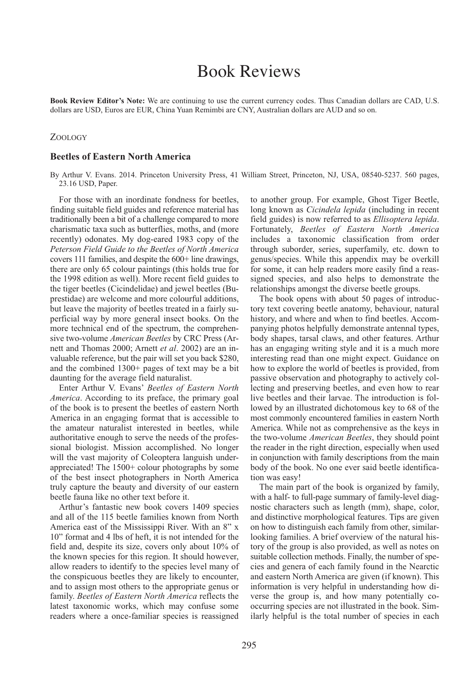## Book Reviews

**Book Review Editor's Note:** We are continuing to use the current currency codes. Thus Canadian dollars are CAD, U.S. dollars are USD, Euros are EUR, China Yuan Remimbi are CNY, Australian dollars are AUD and so on.

## ZOOLOGY

## **Beetles of Eastern North America**

By Arthur V. Evans. 2014. Princeton University Press, 41 William Street, Princeton, NJ, USA, 08540-5237. 560 pages, 23.16 USD, Paper.

For those with an inordinate fondness for beetles, finding suitable field guides and reference material has traditionally been a bit of a challenge compared to more charismatic taxa such as butterflies, moths, and (more recently) odonates. My dog-eared 1983 copy of the *Peterson Field Guide to the Beetles of North America* covers 111 families, and despite the 600+ line drawings, there are only 65 colour paintings (this holds true for the 1998 edition as well). More recent field guides to the tiger beetles (Cicindelidae) and jewel beetles (Buprestidae) are welcome and more colourful additions, but leave the majority of beetles treated in a fairly superficial way by more general insect books. On the more technical end of the spectrum, the comprehensive two-volume *American Beetles* by CRC Press (Arnett and Thomas 2000; Arnett *et al*. 2002) are an invaluable reference, but the pair will set you back \$280, and the combined 1300+ pages of text may be a bit daunting for the average field naturalist.

Enter Arthur V. Evans' *Beetles of Eastern North America*. According to its preface, the primary goal of the book is to present the beetles of eastern North America in an engaging format that is accessible to the amateur naturalist interested in beetles, while authoritative enough to serve the needs of the professional biologist. Mission accomplished. No longer will the vast majority of Coleoptera languish underappreciated! The 1500+ colour photographs by some of the best insect photographers in North America truly capture the beauty and diversity of our eastern beetle fauna like no other text before it.

Arthur's fantastic new book covers 1409 species and all of the 115 beetle families known from North America east of the Mississippi River. With an 8" x 10" format and 4 lbs of heft, it is not intended for the field and, despite its size, covers only about 10% of the known species for this region. It should however, allow readers to identify to the species level many of the conspicuous beetles they are likely to encounter, and to assign most others to the appropriate genus or family. *Beetles of Eastern North America* reflects the latest taxonomic works, which may confuse some readers where a once-familiar species is reassigned to another group. For example, Ghost Tiger Beetle, long known as *Cicindela lepida* (including in recent field guides) is now referred to as *Ellisoptera lepida*. Fortunately, *Beetles of Eastern North America* includes a taxonomic classification from order through suborder, series, superfamily, etc. down to genus/species. While this appendix may be overkill for some, it can help readers more easily find a reassigned species, and also helps to demonstrate the relationships amongst the diverse beetle groups.

The book opens with about 50 pages of introductory text covering beetle anatomy, behaviour, natural history, and where and when to find beetles. Accompanying photos helpfully demonstrate antennal types, body shapes, tarsal claws, and other features. Arthur has an engaging writing style and it is a much more interesting read than one might expect. Guidance on how to explore the world of beetles is provided, from passive observation and photography to actively collecting and preserving beetles, and even how to rear live beetles and their larvae. The introduction is followed by an illustrated dichotomous key to 68 of the most commonly encountered families in eastern North America. While not as comprehensive as the keys in the two-volume *American Beetles*, they should point the reader in the right direction, especially when used in conjunction with family descriptions from the main body of the book. No one ever said beetle identification was easy!

The main part of the book is organized by family, with a half- to full-page summary of family-level diagnostic characters such as length (mm), shape, color, and distinctive morphological features. Tips are given on how to distinguish each family from other, similarlooking families. A brief overview of the natural history of the group is also provided, as well as notes on suitable collection methods. Finally, the number of species and genera of each family found in the Nearctic and eastern North America are given (if known). This information is very helpful in understanding how diverse the group is, and how many potentially cooccurring species are not illustrated in the book. Similarly helpful is the total number of species in each